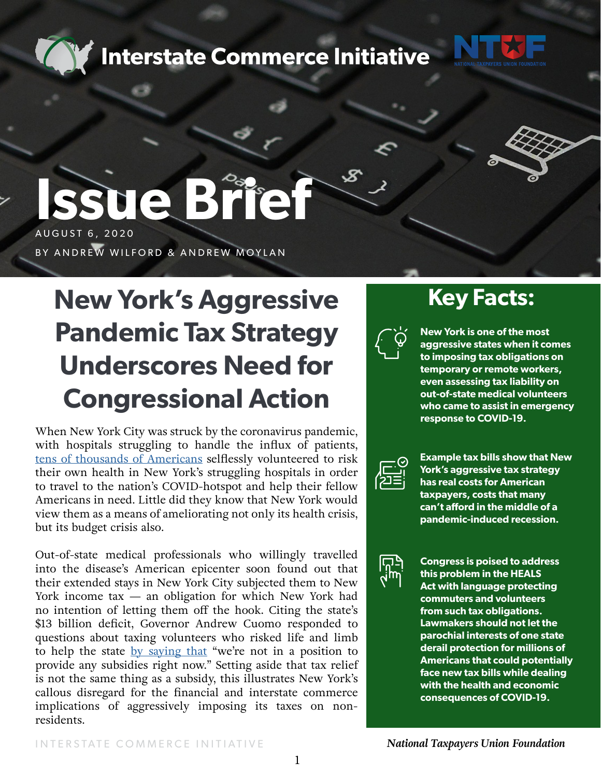**Interstate Commerce Initiative** 





# **Issue Brief** AUGUST 6, 2020

BY ANDREW WILFORD & ANDREW MOYLAN

## **New York's Aggressive Pandemic Tax Strategy Underscores Need for Congressional Action**

When New York City was struck by the coronavirus pandemic, with hospitals struggling to handle the influx of patients, [tens of thousands of Americans](https://www.cnbc.com/2020/04/09/medical-workers-help-covid-19-fight-in-hotspots-but-might-be-needed-at-home.html) selflessly volunteered to risk their own health in New York's struggling hospitals in order to travel to the nation's COVID-hotspot and help their fellow Americans in need. Little did they know that New York would view them as a means of ameliorating not only its health crisis, but its budget crisis also.

Out-of-state medical professionals who willingly travelled into the disease's American epicenter soon found out that their extended stays in New York City subjected them to New York income  $tax - an$  obligation for which New York had no intention of letting them off the hook. Citing the state's \$13 billion deficit, Governor Andrew Cuomo responded to questions about taxing volunteers who risked life and limb to help the state [by saying that](https://www.forbes.com/sites/patrickgleason/2020/05/08/andrew-cuomo-confirms-new-york-will-tax-out-of-state-volunteer-health-workers-congress-can-stop-this/#47fc6eb5f123) "we're not in a position to provide any subsidies right now." Setting aside that tax relief is not the same thing as a subsidy, this illustrates New York's callous disregard for the financial and interstate commerce implications of aggressively imposing its taxes on nonresidents.

### **Key Facts:**



**New York is one of the most aggressive states when it comes to imposing tax obligations on temporary or remote workers, even assessing tax liability on out-of-state medical volunteers who came to assist in emergency response to COVID-19.** 



**Example tax bills show that New York's aggressive tax strategy has real costs for American taxpayers, costs that many can't afford in the middle of a pandemic-induced recession.**



**Congress is poised to address this problem in the HEALS Act with language protecting commuters and volunteers from such tax obligations. Lawmakers should not let the parochial interests of one state derail protection for millions of Americans that could potentially face new tax bills while dealing with the health and economic consequences of COVID-19.**

 *National Taxpayers Union Foundation*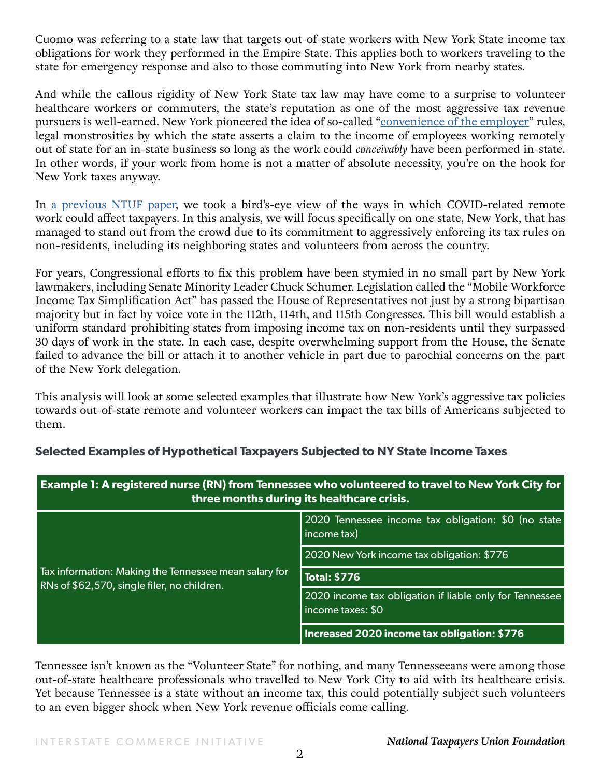Cuomo was referring to a state law that targets out-of-state workers with New York State income tax obligations for work they performed in the Empire State. This applies both to workers traveling to the state for emergency response and also to those commuting into New York from nearby states.

And while the callous rigidity of New York State tax law may have come to a surprise to volunteer healthcare workers or commuters, the state's reputation as one of the most aggressive tax revenue pursuers is well-earned. New York pioneered the idea of so-called "[convenience of the employer"](https://www.realclearmarkets.com/articles/2020/04/27/the_dangerous_tax_implication_of_tele-working_490075.html) rules, legal monstrosities by which the state asserts a claim to the income of employees working remotely out of state for an in-state business so long as the work could *conceivably* have been performed in-state. In other words, if your work from home is not a matter of absolute necessity, you're on the hook for New York taxes anyway.

In [a previous NTUF paper,](https://www.ntu.org/foundation/detail/dont-let-covid-remote-work-become-a-tax-trap) we took a bird's-eye view of the ways in which COVID-related remote work could affect taxpayers. In this analysis, we will focus specifically on one state, New York, that has managed to stand out from the crowd due to its commitment to aggressively enforcing its tax rules on non-residents, including its neighboring states and volunteers from across the country.

For years, Congressional efforts to fix this problem have been stymied in no small part by New York lawmakers, including Senate Minority Leader Chuck Schumer. Legislation called the "Mobile Workforce Income Tax Simplification Act" has passed the House of Representatives not just by a strong bipartisan majority but in fact by voice vote in the 112th, 114th, and 115th Congresses. This bill would establish a uniform standard prohibiting states from imposing income tax on non-residents until they surpassed 30 days of work in the state. In each case, despite overwhelming support from the House, the Senate failed to advance the bill or attach it to another vehicle in part due to parochial concerns on the part of the New York delegation.

This analysis will look at some selected examples that illustrate how New York's aggressive tax policies towards out-of-state remote and volunteer workers can impact the tax bills of Americans subjected to them.

| Example 1: A registered nurse (RN) from Tennessee who volunteered to travel to New York City for<br>three months during its healthcare crisis. |                                                                              |
|------------------------------------------------------------------------------------------------------------------------------------------------|------------------------------------------------------------------------------|
| Tax information: Making the Tennessee mean salary for<br>RNs of \$62,570, single filer, no children.                                           | 2020 Tennessee income tax obligation: \$0 (no state<br>income tax)           |
|                                                                                                                                                | 2020 New York income tax obligation: \$776                                   |
|                                                                                                                                                | <b>Total: \$776</b>                                                          |
|                                                                                                                                                | 2020 income tax obligation if liable only for Tennessee<br>income taxes: \$0 |
|                                                                                                                                                | Increased 2020 income tax obligation: \$776                                  |

#### **Selected Examples of Hypothetical Taxpayers Subjected to NY State Income Taxes**

Tennessee isn't known as the "Volunteer State" for nothing, and many Tennesseeans were among those out-of-state healthcare professionals who travelled to New York City to aid with its healthcare crisis. Yet because Tennessee is a state without an income tax, this could potentially subject such volunteers to an even bigger shock when New York revenue officials come calling.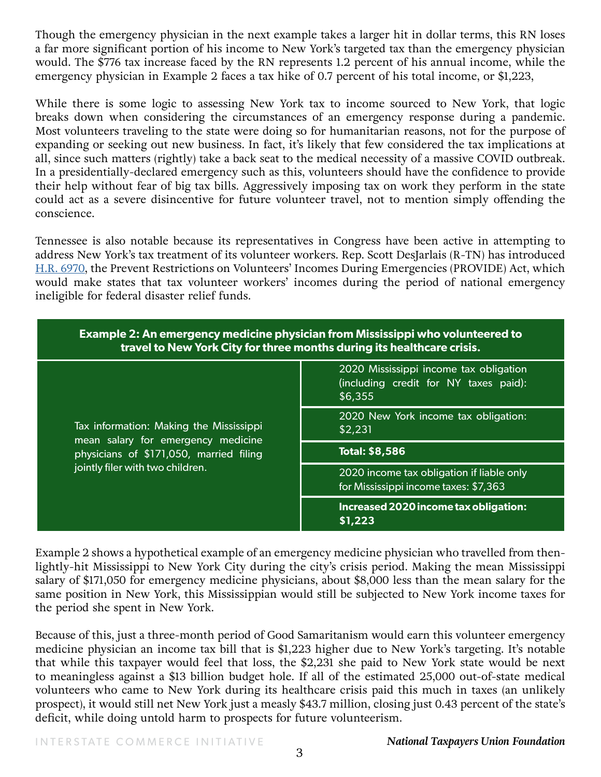Though the emergency physician in the next example takes a larger hit in dollar terms, this RN loses a far more significant portion of his income to New York's targeted tax than the emergency physician would. The \$776 tax increase faced by the RN represents 1.2 percent of his annual income, while the emergency physician in Example 2 faces a tax hike of 0.7 percent of his total income, or \$1,223,

While there is some logic to assessing New York tax to income sourced to New York, that logic breaks down when considering the circumstances of an emergency response during a pandemic. Most volunteers traveling to the state were doing so for humanitarian reasons, not for the purpose of expanding or seeking out new business. In fact, it's likely that few considered the tax implications at all, since such matters (rightly) take a back seat to the medical necessity of a massive COVID outbreak. In a presidentially-declared emergency such as this, volunteers should have the confidence to provide their help without fear of big tax bills. Aggressively imposing tax on work they perform in the state could act as a severe disincentive for future volunteer travel, not to mention simply offending the conscience.

Tennessee is also notable because its representatives in Congress have been active in attempting to address New York's tax treatment of its volunteer workers. Rep. Scott DesJarlais (R-TN) has introduced [H.R. 6970](https://www.congress.gov/bill/116th-congress/house-bill/6970/), the Prevent Restrictions on Volunteers' Incomes During Emergencies (PROVIDE) Act, which would make states that tax volunteer workers' incomes during the period of national emergency ineligible for federal disaster relief funds.

| <b>Example 2: An emergency medicine physician from Mississippi who volunteered to</b><br>travel to New York City for three months during its healthcare crisis. |                                                                                            |  |
|-----------------------------------------------------------------------------------------------------------------------------------------------------------------|--------------------------------------------------------------------------------------------|--|
| Tax information: Making the Mississippi<br>mean salary for emergency medicine<br>physicians of \$171,050, married filing<br>jointly filer with two children.    | 2020 Mississippi income tax obligation<br>(including credit for NY taxes paid):<br>\$6,355 |  |
|                                                                                                                                                                 | 2020 New York income tax obligation:<br>\$2,231                                            |  |
|                                                                                                                                                                 | <b>Total: \$8,586</b>                                                                      |  |
|                                                                                                                                                                 | 2020 income tax obligation if liable only<br>for Mississippi income taxes: \$7,363         |  |
|                                                                                                                                                                 | Increased 2020 income tax obligation:<br>\$1,223                                           |  |

Example 2 shows a hypothetical example of an emergency medicine physician who travelled from thenlightly-hit Mississippi to New York City during the city's crisis period. Making the mean Mississippi salary of \$171,050 for emergency medicine physicians, about \$8,000 less than the mean salary for the same position in New York, this Mississippian would still be subjected to New York income taxes for the period she spent in New York.

Because of this, just a three-month period of Good Samaritanism would earn this volunteer emergency medicine physician an income tax bill that is \$1,223 higher due to New York's targeting. It's notable that while this taxpayer would feel that loss, the \$2,231 she paid to New York state would be next to meaningless against a \$13 billion budget hole. If all of the estimated 25,000 out-of-state medical volunteers who came to New York during its healthcare crisis paid this much in taxes (an unlikely prospect), it would still net New York just a measly \$43.7 million, closing just 0.43 percent of the state's deficit, while doing untold harm to prospects for future volunteerism.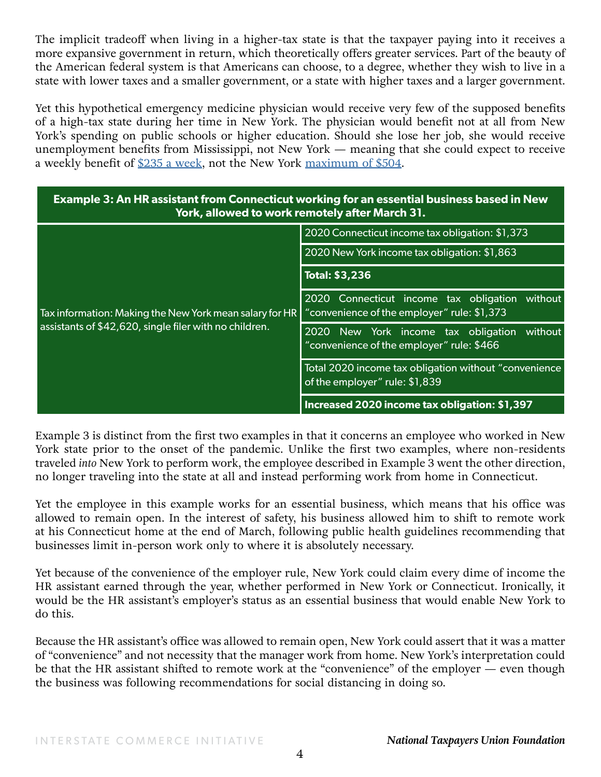The implicit tradeoff when living in a higher-tax state is that the taxpayer paying into it receives a more expansive government in return, which theoretically offers greater services. Part of the beauty of the American federal system is that Americans can choose, to a degree, whether they wish to live in a state with lower taxes and a smaller government, or a state with higher taxes and a larger government.

Yet this hypothetical emergency medicine physician would receive very few of the supposed benefits of a high-tax state during her time in New York. The physician would benefit not at all from New York's spending on public schools or higher education. Should she lose her job, she would receive unemployment benefits from Mississippi, not New York — meaning that she could expect to receive a weekly benefit of  $235$  a week, not the New York [maximum of \\$504](https://labor.ny.gov/benefit-rate-calculator/).

| <b>Example 3: An HR assistant from Connecticut working for an essential business based in New</b><br>York, allowed to work remotely after March 31. |                                                                                               |
|-----------------------------------------------------------------------------------------------------------------------------------------------------|-----------------------------------------------------------------------------------------------|
| Tax information: Making the New York mean salary for HR<br>assistants of \$42,620, single filer with no children.                                   | 2020 Connecticut income tax obligation: \$1,373                                               |
|                                                                                                                                                     | 2020 New York income tax obligation: \$1,863                                                  |
|                                                                                                                                                     | <b>Total: \$3,236</b>                                                                         |
|                                                                                                                                                     | 2020 Connecticut income tax obligation without<br>"convenience of the employer" rule: \$1,373 |
|                                                                                                                                                     | 2020 New York income tax obligation<br>without<br>"convenience of the employer" rule: \$466   |
|                                                                                                                                                     | Total 2020 income tax obligation without "convenience<br>of the employer" rule: \$1,839       |
|                                                                                                                                                     | Increased 2020 income tax obligation: \$1,397                                                 |

Example 3 is distinct from the first two examples in that it concerns an employee who worked in New York state prior to the onset of the pandemic. Unlike the first two examples, where non-residents traveled *into* New York to perform work, the employee described in Example 3 went the other direction, no longer traveling into the state at all and instead performing work from home in Connecticut.

Yet the employee in this example works for an essential business, which means that his office was allowed to remain open. In the interest of safety, his business allowed him to shift to remote work at his Connecticut home at the end of March, following public health guidelines recommending that businesses limit in-person work only to where it is absolutely necessary.

Yet because of the convenience of the employer rule, New York could claim every dime of income the HR assistant earned through the year, whether performed in New York or Connecticut. Ironically, it would be the HR assistant's employer's status as an essential business that would enable New York to do this.

Because the HR assistant's office was allowed to remain open, New York could assert that it was a matter of "convenience" and not necessity that the manager work from home. New York's interpretation could be that the HR assistant shifted to remote work at the "convenience" of the employer — even though the business was following recommendations for social distancing in doing so.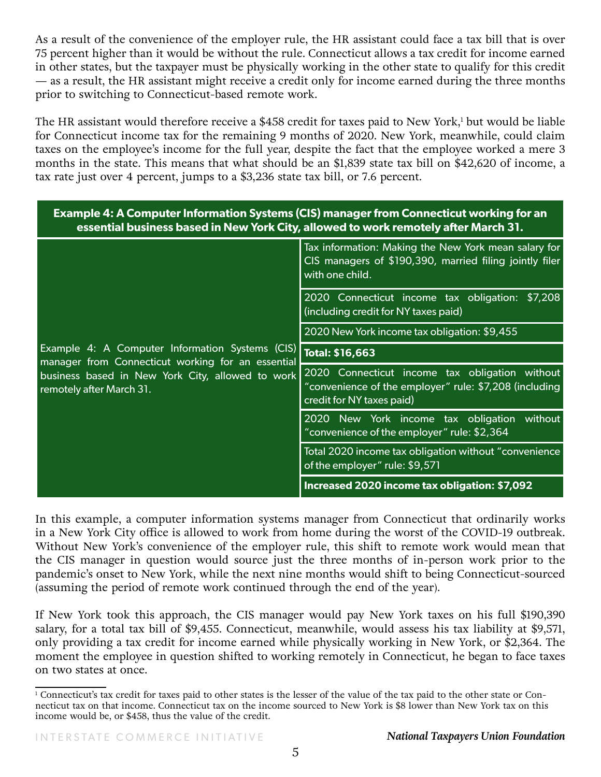As a result of the convenience of the employer rule, the HR assistant could face a tax bill that is over 75 percent higher than it would be without the rule. Connecticut allows a tax credit for income earned in other states, but the taxpayer must be physically working in the other state to qualify for this credit — as a result, the HR assistant might receive a credit only for income earned during the three months prior to switching to Connecticut-based remote work.

The HR assistant would therefore receive a \$458 credit for taxes paid to New York, $^1$  but would be liable for Connecticut income tax for the remaining 9 months of 2020. New York, meanwhile, could claim taxes on the employee's income for the full year, despite the fact that the employee worked a mere 3 months in the state. This means that what should be an \$1,839 state tax bill on \$42,620 of income, a tax rate just over 4 percent, jumps to a \$3,236 state tax bill, or 7.6 percent.

| <b>Example 4: A Computer Information Systems (CIS) manager from Connecticut working for an</b><br>essential business based in New York City, allowed to work remotely after March 31. |                                                                                                                                       |  |
|---------------------------------------------------------------------------------------------------------------------------------------------------------------------------------------|---------------------------------------------------------------------------------------------------------------------------------------|--|
| Example 4: A Computer Information Systems (CIS)<br>manager from Connecticut working for an essential<br>business based in New York City, allowed to work<br>remotely after March 31.  | Tax information: Making the New York mean salary for<br>CIS managers of \$190,390, married filing jointly filer<br>with one child.    |  |
|                                                                                                                                                                                       | 2020 Connecticut income tax obligation: \$7,208<br>(including credit for NY taxes paid)                                               |  |
|                                                                                                                                                                                       | 2020 New York income tax obligation: \$9,455                                                                                          |  |
|                                                                                                                                                                                       | <b>Total: \$16,663</b>                                                                                                                |  |
|                                                                                                                                                                                       | 2020 Connecticut income tax obligation without<br>"convenience of the employer" rule: \$7,208 (including<br>credit for NY taxes paid) |  |
|                                                                                                                                                                                       | 2020 New York income tax obligation without<br>"convenience of the employer" rule: \$2,364                                            |  |
|                                                                                                                                                                                       | Total 2020 income tax obligation without "convenience<br>of the employer" rule: \$9,571                                               |  |
|                                                                                                                                                                                       | Increased 2020 income tax obligation: \$7,092                                                                                         |  |

In this example, a computer information systems manager from Connecticut that ordinarily works in a New York City office is allowed to work from home during the worst of the COVID-19 outbreak. Without New York's convenience of the employer rule, this shift to remote work would mean that the CIS manager in question would source just the three months of in-person work prior to the pandemic's onset to New York, while the next nine months would shift to being Connecticut-sourced (assuming the period of remote work continued through the end of the year).

If New York took this approach, the CIS manager would pay New York taxes on his full \$190,390 salary, for a total tax bill of \$9,455. Connecticut, meanwhile, would assess his tax liability at \$9,571, only providing a tax credit for income earned while physically working in New York, or \$2,364. The moment the employee in question shifted to working remotely in Connecticut, he began to face taxes on two states at once.

<sup>1</sup> Connecticut's tax credit for taxes paid to other states is the lesser of the value of the tax paid to the other state or Connecticut tax on that income. Connecticut tax on the income sourced to New York is \$8 lower than New York tax on this income would be, or \$458, thus the value of the credit.